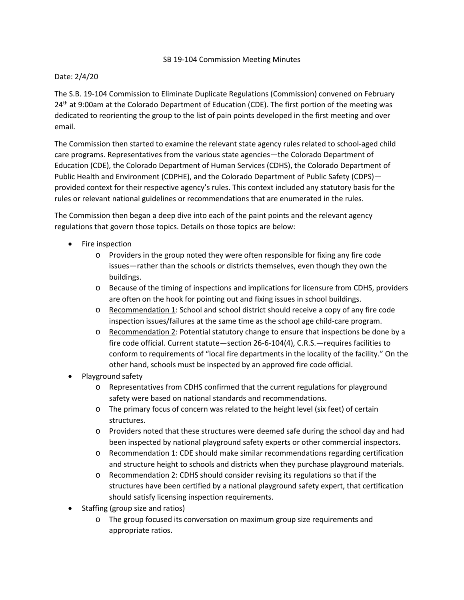## SB 19-104 Commission Meeting Minutes

## Date: 2/4/20

The S.B. 19-104 Commission to Eliminate Duplicate Regulations (Commission) convened on February 24<sup>th</sup> at 9:00am at the Colorado Department of Education (CDE). The first portion of the meeting was dedicated to reorienting the group to the list of pain points developed in the first meeting and over email.

The Commission then started to examine the relevant state agency rules related to school-aged child care programs. Representatives from the various state agencies—the Colorado Department of Education (CDE), the Colorado Department of Human Services (CDHS), the Colorado Department of Public Health and Environment (CDPHE), and the Colorado Department of Public Safety (CDPS) provided context for their respective agency's rules. This context included any statutory basis for the rules or relevant national guidelines or recommendations that are enumerated in the rules.

The Commission then began a deep dive into each of the paint points and the relevant agency regulations that govern those topics. Details on those topics are below:

- Fire inspection
	- o Providers in the group noted they were often responsible for fixing any fire code issues—rather than the schools or districts themselves, even though they own the buildings.
	- o Because of the timing of inspections and implications for licensure from CDHS, providers are often on the hook for pointing out and fixing issues in school buildings.
	- o Recommendation 1: School and school district should receive a copy of any fire code inspection issues/failures at the same time as the school age child-care program.
	- o Recommendation 2: Potential statutory change to ensure that inspections be done by a fire code official. Current statute—section 26-6-104(4), C.R.S.—requires facilities to conform to requirements of "local fire departments in the locality of the facility." On the other hand, schools must be inspected by an approved fire code official.
- Playground safety
	- o Representatives from CDHS confirmed that the current regulations for playground safety were based on national standards and recommendations.
	- o The primary focus of concern was related to the height level (six feet) of certain structures.
	- o Providers noted that these structures were deemed safe during the school day and had been inspected by national playground safety experts or other commercial inspectors.
	- o Recommendation 1: CDE should make similar recommendations regarding certification and structure height to schools and districts when they purchase playground materials.
	- o Recommendation 2: CDHS should consider revising its regulations so that if the structures have been certified by a national playground safety expert, that certification should satisfy licensing inspection requirements.
- Staffing (group size and ratios)
	- o The group focused its conversation on maximum group size requirements and appropriate ratios.